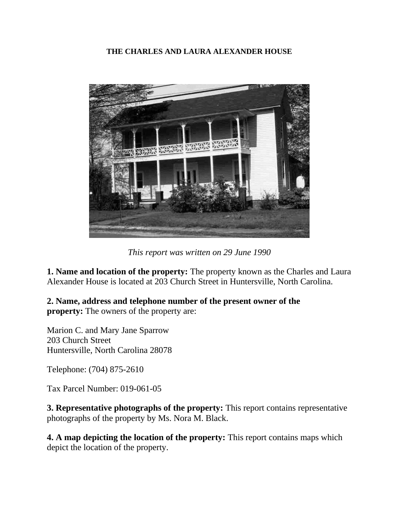#### **THE CHARLES AND LAURA ALEXANDER HOUSE**



*This report was written on 29 June 1990*

**1. Name and location of the property:** The property known as the Charles and Laura Alexander House is located at 203 Church Street in Huntersville, North Carolina.

**2. Name, address and telephone number of the present owner of the property:** The owners of the property are:

Marion C. and Mary Jane Sparrow 203 Church Street Huntersville, North Carolina 28078

Telephone: (704) 875-2610

Tax Parcel Number: 019-061-05

**3. Representative photographs of the property:** This report contains representative photographs of the property by Ms. Nora M. Black.

**4. A map depicting the location of the property:** This report contains maps which depict the location of the property.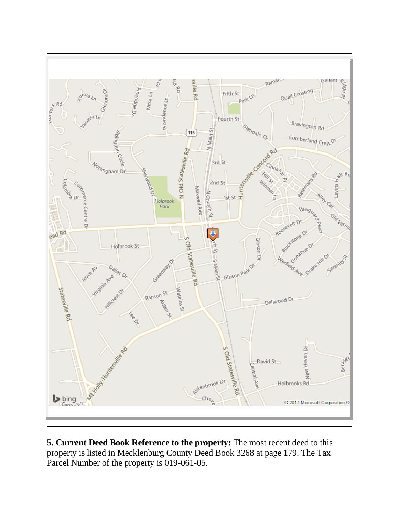

**5. Current Deed Book Reference to the property:** The most recent deed to this property is listed in Mecklenburg County Deed Book 3268 at page 179. The Tax Parcel Number of the property is 019-061-05.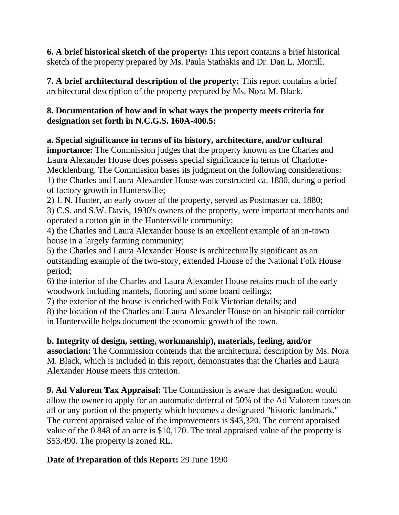**6. A brief historical sketch of the property:** This report contains a brief historical sketch of the property prepared by Ms. Paula Stathakis and Dr. Dan L. Morrill.

**7. A brief architectural description of the property:** This report contains a brief architectural description of the property prepared by Ms. Nora M. Black.

# **8. Documentation of how and in what ways the property meets criteria for designation set forth in N.C.G.S. 160A-400.5:**

**a. Special significance in terms of its history, architecture, and/or cultural importance:** The Commission judges that the property known as the Charles and Laura Alexander House does possess special significance in terms of Charlotte-Mecklenburg. The Commission bases its judgment on the following considerations: 1) the Charles and Laura Alexander House was constructed ca. 1880, during a period of factory growth in Huntersville;

2) J. N. Hunter, an early owner of the property, served as Postmaster ca. 1880;

3) C.S. and S.W. Davis, 1930's owners of the property, were important merchants and operated a cotton gin in the Huntersville community;

4) the Charles and Laura Alexander house is an excellent example of an in-town house in a largely farming community;

5) the Charles and Laura Alexander House is architecturally significant as an outstanding example of the two-story, extended I-house of the National Folk House period;

6) the interior of the Charles and Laura Alexander House retains much of the early woodwork including mantels, flooring and some board ceilings;

7) the exterior of the house is enriched with Folk Victorian details; and

8) the location of the Charles and Laura Alexander House on an historic rail corridor in Huntersville helps document the economic growth of the town.

# **b. Integrity of design, setting, workmanship), materials, feeling, and/or**

**association:** The Commission contends that the architectural description by Ms. Nora M. Black, which is included in this report, demonstrates that the Charles and Laura Alexander House meets this criterion.

**9. Ad Valorem Tax Appraisal:** The Commission is aware that designation would allow the owner to apply for an automatic deferral of 50% of the Ad Valorem taxes on all or any portion of the property which becomes a designated "historic landmark." The current appraised value of the improvements is \$43,320. The current appraised value of the 0.848 of an acre is \$10,170. The total appraised value of the property is \$53,490. The property is zoned RL.

# **Date of Preparation of this Report:** 29 June 1990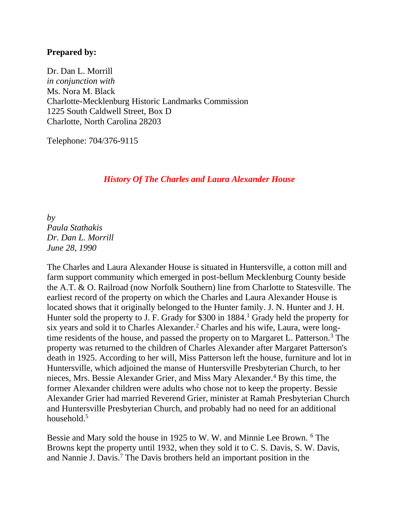#### **Prepared by:**

Dr. Dan L. Morrill *in conjunction with* Ms. Nora M. Black Charlotte-Mecklenburg Historic Landmarks Commission 1225 South Caldwell Street, Box D Charlotte, North Carolina 28203

Telephone: 704/376-9115

#### *History Of The Charles and Laura Alexander House*

*by Paula Stathakis Dr. Dan L. Morrill June 28, 1990*

The Charles and Laura Alexander House is situated in Huntersville, a cotton mill and farm support community which emerged in post-bellum Mecklenburg County beside the A.T. & O. Railroad (now Norfolk Southern) line from Charlotte to Statesville. The earliest record of the property on which the Charles and Laura Alexander House is located shows that it originally belonged to the Hunter family. J. N. Hunter and J. H. Hunter sold the property to J. F. Grady for \$300 in 1884.<sup>1</sup> Grady held the property for six years and sold it to Charles Alexander.<sup>2</sup> Charles and his wife, Laura, were longtime residents of the house, and passed the property on to Margaret L. Patterson.<sup>3</sup> The property was returned to the children of Charles Alexander after Margaret Patterson's death in 1925. According to her will, Miss Patterson left the house, furniture and lot in Huntersville, which adjoined the manse of Huntersville Presbyterian Church, to her nieces, Mrs. Bessie Alexander Grier, and Miss Mary Alexander.<sup>4</sup> By this time, the former Alexander children were adults who chose not to keep the property. Bessie Alexander Grier had married Reverend Grier, minister at Ramah Presbyterian Church and Huntersville Presbyterian Church, and probably had no need for an additional household.<sup>5</sup>

Bessie and Mary sold the house in 1925 to W. W. and Minnie Lee Brown. <sup>6</sup> The Browns kept the property until 1932, when they sold it to C. S. Davis, S. W. Davis, and Nannie J. Davis.<sup>7</sup> The Davis brothers held an important position in the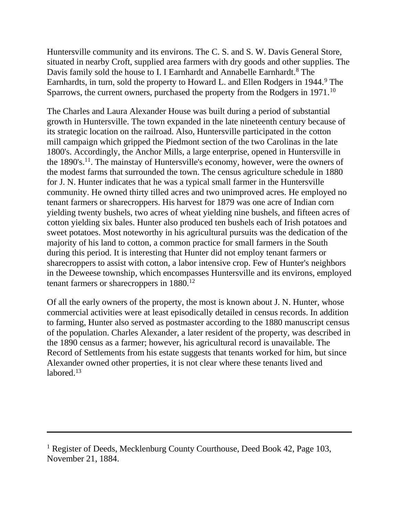Huntersville community and its environs. The C. S. and S. W. Davis General Store, situated in nearby Croft, supplied area farmers with dry goods and other supplies. The Davis family sold the house to I. I Earnhardt and Annabelle Earnhardt.<sup>8</sup> The Earnhardts, in turn, sold the property to Howard L. and Ellen Rodgers in 1944.<sup>9</sup> The Sparrows, the current owners, purchased the property from the Rodgers in 1971.<sup>10</sup>

The Charles and Laura Alexander House was built during a period of substantial growth in Huntersville. The town expanded in the late nineteenth century because of its strategic location on the railroad. Also, Huntersville participated in the cotton mill campaign which gripped the Piedmont section of the two Carolinas in the late 1800's. Accordingly, the Anchor Mills, a large enterprise, opened in Huntersville in the 1890's.<sup>11</sup>. The mainstay of Huntersville's economy, however, were the owners of the modest farms that surrounded the town. The census agriculture schedule in 1880 for J. N. Hunter indicates that he was a typical small farmer in the Huntersville community. He owned thirty tilled acres and two unimproved acres. He employed no tenant farmers or sharecroppers. His harvest for 1879 was one acre of Indian corn yielding twenty bushels, two acres of wheat yielding nine bushels, and fifteen acres of cotton yielding six bales. Hunter also produced ten bushels each of Irish potatoes and sweet potatoes. Most noteworthy in his agricultural pursuits was the dedication of the majority of his land to cotton, a common practice for small farmers in the South during this period. It is interesting that Hunter did not employ tenant farmers or sharecroppers to assist with cotton, a labor intensive crop. Few of Hunter's neighbors in the Deweese township, which encompasses Huntersville and its environs, employed tenant farmers or sharecroppers in 1880.<sup>12</sup>

Of all the early owners of the property, the most is known about J. N. Hunter, whose commercial activities were at least episodically detailed in census records. In addition to farming, Hunter also served as postmaster according to the 1880 manuscript census of the population. Charles Alexander, a later resident of the property, was described in the 1890 census as a farmer; however, his agricultural record is unavailable. The Record of Settlements from his estate suggests that tenants worked for him, but since Alexander owned other properties, it is not clear where these tenants lived and labored.<sup>13</sup>

<sup>&</sup>lt;sup>1</sup> Register of Deeds, Mecklenburg County Courthouse, Deed Book 42, Page 103, November 21, 1884.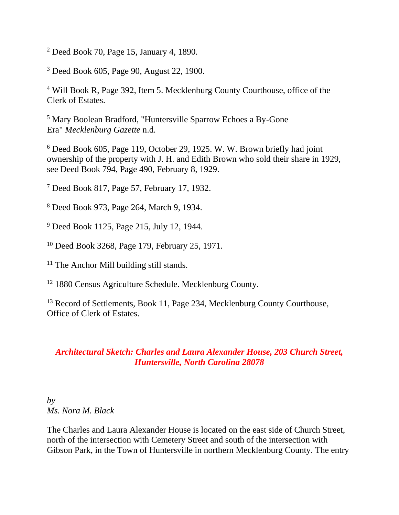<sup>2</sup> Deed Book 70, Page 15, January 4, 1890.

<sup>3</sup> Deed Book 605, Page 90, August 22, 1900.

<sup>4</sup> Will Book R, Page 392, Item 5. Mecklenburg County Courthouse, office of the Clerk of Estates.

<sup>5</sup> Mary Boolean Bradford, "Huntersville Sparrow Echoes a By-Gone Era" *Mecklenburg Gazette* n.d.

<sup>6</sup> Deed Book 605, Page 119, October 29, 1925. W. W. Brown briefly had joint ownership of the property with J. H. and Edith Brown who sold their share in 1929, see Deed Book 794, Page 490, February 8, 1929.

<sup>7</sup> Deed Book 817, Page 57, February 17, 1932.

<sup>8</sup> Deed Book 973, Page 264, March 9, 1934.

<sup>9</sup> Deed Book 1125, Page 215, July 12, 1944.

<sup>10</sup> Deed Book 3268, Page 179, February 25, 1971.

<sup>11</sup> The Anchor Mill building still stands.

<sup>12</sup> 1880 Census Agriculture Schedule. Mecklenburg County.

<sup>13</sup> Record of Settlements, Book 11, Page 234, Mecklenburg County Courthouse, Office of Clerk of Estates.

### *Architectural Sketch: Charles and Laura Alexander House, 203 Church Street, Huntersville, North Carolina 28078*

*by Ms. Nora M. Black*

The Charles and Laura Alexander House is located on the east side of Church Street, north of the intersection with Cemetery Street and south of the intersection with Gibson Park, in the Town of Huntersville in northern Mecklenburg County. The entry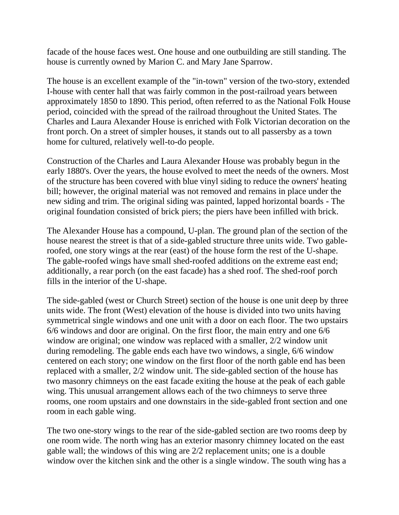facade of the house faces west. One house and one outbuilding are still standing. The house is currently owned by Marion C. and Mary Jane Sparrow.

The house is an excellent example of the "in-town" version of the two-story, extended I-house with center hall that was fairly common in the post-railroad years between approximately 1850 to 1890. This period, often referred to as the National Folk House period, coincided with the spread of the railroad throughout the United States. The Charles and Laura Alexander House is enriched with Folk Victorian decoration on the front porch. On a street of simpler houses, it stands out to all passersby as a town home for cultured, relatively well-to-do people.

Construction of the Charles and Laura Alexander House was probably begun in the early 1880's. Over the years, the house evolved to meet the needs of the owners. Most of the structure has been covered with blue vinyl siding to reduce the owners' heating bill; however, the original material was not removed and remains in place under the new siding and trim. The original siding was painted, lapped horizontal boards - The original foundation consisted of brick piers; the piers have been infilled with brick.

The Alexander House has a compound, U-plan. The ground plan of the section of the house nearest the street is that of a side-gabled structure three units wide. Two gableroofed, one story wings at the rear (east) of the house form the rest of the U-shape. The gable-roofed wings have small shed-roofed additions on the extreme east end; additionally, a rear porch (on the east facade) has a shed roof. The shed-roof porch fills in the interior of the U-shape.

The side-gabled (west or Church Street) section of the house is one unit deep by three units wide. The front (West) elevation of the house is divided into two units having symmetrical single windows and one unit with a door on each floor. The two upstairs 6/6 windows and door are original. On the first floor, the main entry and one 6/6 window are original; one window was replaced with a smaller, 2/2 window unit during remodeling. The gable ends each have two windows, a single, 6/6 window centered on each story; one window on the first floor of the north gable end has been replaced with a smaller, 2/2 window unit. The side-gabled section of the house has two masonry chimneys on the east facade exiting the house at the peak of each gable wing. This unusual arrangement allows each of the two chimneys to serve three rooms, one room upstairs and one downstairs in the side-gabled front section and one room in each gable wing.

The two one-story wings to the rear of the side-gabled section are two rooms deep by one room wide. The north wing has an exterior masonry chimney located on the east gable wall; the windows of this wing are 2/2 replacement units; one is a double window over the kitchen sink and the other is a single window. The south wing has a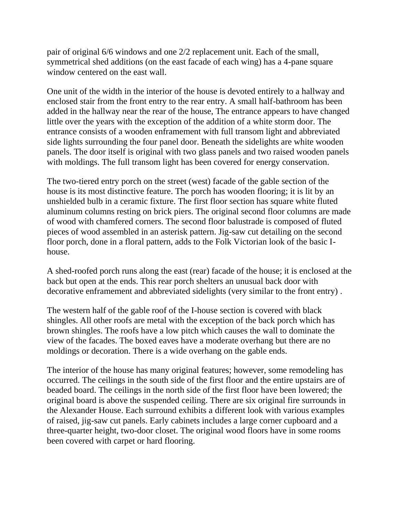pair of original 6/6 windows and one 2/2 replacement unit. Each of the small, symmetrical shed additions (on the east facade of each wing) has a 4-pane square window centered on the east wall.

One unit of the width in the interior of the house is devoted entirely to a hallway and enclosed stair from the front entry to the rear entry. A small half-bathroom has been added in the hallway near the rear of the house, The entrance appears to have changed little over the years with the exception of the addition of a white storm door. The entrance consists of a wooden enframement with full transom light and abbreviated side lights surrounding the four panel door. Beneath the sidelights are white wooden panels. The door itself is original with two glass panels and two raised wooden panels with moldings. The full transom light has been covered for energy conservation.

The two-tiered entry porch on the street (west) facade of the gable section of the house is its most distinctive feature. The porch has wooden flooring; it is lit by an unshielded bulb in a ceramic fixture. The first floor section has square white fluted aluminum columns resting on brick piers. The original second floor columns are made of wood with chamfered corners. The second floor balustrade is composed of fluted pieces of wood assembled in an asterisk pattern. Jig-saw cut detailing on the second floor porch, done in a floral pattern, adds to the Folk Victorian look of the basic Ihouse.

A shed-roofed porch runs along the east (rear) facade of the house; it is enclosed at the back but open at the ends. This rear porch shelters an unusual back door with decorative enframement and abbreviated sidelights (very similar to the front entry) .

The western half of the gable roof of the I-house section is covered with black shingles. All other roofs are metal with the exception of the back porch which has brown shingles. The roofs have a low pitch which causes the wall to dominate the view of the facades. The boxed eaves have a moderate overhang but there are no moldings or decoration. There is a wide overhang on the gable ends.

The interior of the house has many original features; however, some remodeling has occurred. The ceilings in the south side of the first floor and the entire upstairs are of beaded board. The ceilings in the north side of the first floor have been lowered; the original board is above the suspended ceiling. There are six original fire surrounds in the Alexander House. Each surround exhibits a different look with various examples of raised, jig-saw cut panels. Early cabinets includes a large corner cupboard and a three-quarter height, two-door closet. The original wood floors have in some rooms been covered with carpet or hard flooring.